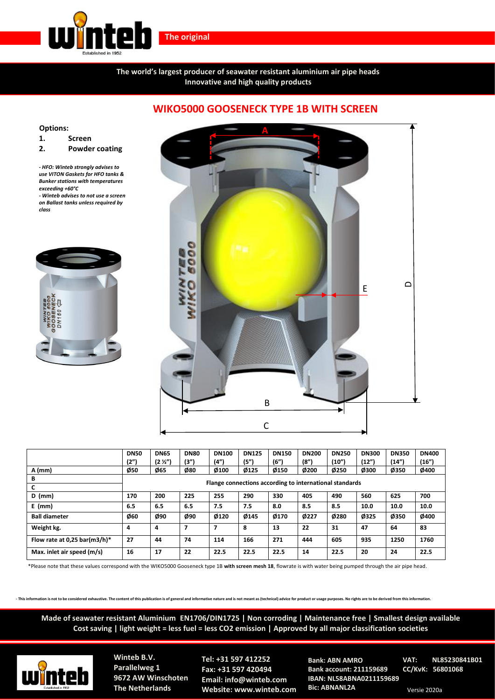

**The original**

**The world's largest producer of seawater resistant aluminium air pipe heads Innovative and high quality products**

## **Options:**

**1. Screen**

**2. Powder coating**

*- HFO: Winteb strongly advises to use VITON Gaskets for HFO tanks & Bunker stations with temperatures exceeding +60°C*

*- Winteb advises to not use a screen on Ballast tanks unless required by class*





|                              | <b>DN50</b><br>(2")                                     | <b>DN65</b><br>(2 <i>Y</i> 2 <sup>n</sup> ) | <b>DN80</b><br>(3") | <b>DN100</b><br>(4")    | <b>DN125</b><br>(5") | <b>DN150</b><br>(6") | <b>DN200</b><br>(8") | <b>DN250</b><br>(10") | <b>DN300</b><br>(12") | <b>DN350</b><br>(14") | <b>DN400</b><br>(16") |
|------------------------------|---------------------------------------------------------|---------------------------------------------|---------------------|-------------------------|----------------------|----------------------|----------------------|-----------------------|-----------------------|-----------------------|-----------------------|
| A (mm)                       | Ø50                                                     | Ø65                                         | Ø80                 | Ø100                    | Ø125                 | Ø150                 | Ø200                 | Ø250                  | Ø300                  | Ø350                  | Ø400                  |
| В                            | Flange connections according to international standards |                                             |                     |                         |                      |                      |                      |                       |                       |                       |                       |
| $D$ (mm)                     | 170                                                     | 200                                         | 225                 | 255                     | 290                  | 330                  | 405                  | 490                   | 560                   | 625                   | 700                   |
| $E$ (mm)                     | 6.5                                                     | 6.5                                         | 6.5                 | 7.5                     | 7.5                  | 8.0                  | 8.5                  | 8.5                   | 10.0                  | 10.0                  | 10.0                  |
| <b>Ball diameter</b>         | Ø60                                                     | Ø90                                         | Ø90                 | Ø120                    | Ø145                 | Ø170                 | Ø227                 | Ø280                  | Ø325                  | Ø350                  | Ø400                  |
| Weight kg.                   | 4                                                       | 4                                           | 7                   | $\overline{\mathbf{z}}$ | 8                    | 13                   | 22                   | 31                    | 47                    | 64                    | 83                    |
| Flow rate at 0,25 bar(m3/h)* | 27                                                      | 44                                          | 74                  | 114                     | 166                  | 271                  | 444                  | 605                   | 935                   | 1250                  | 1760                  |
| Max. inlet air speed (m/s)   | 16                                                      | 17                                          | 22                  | 22.5                    | 22.5                 | 22.5                 | 14                   | 22.5                  | 20                    | 24                    | 22.5                  |

\*Please note that these values correspond with the WIKO5000 Gooseneck type 1B **with screen mesh 18**, flowrate is with water being pumped through the air pipe head.

This information is not to be considered exhaustive. The content of this publication is of general and informative nature and is not meant as (technical) advice for product or usage purposes. No rights are to be derived fr

**Made of seawater resistant Aluminium EN1706/DIN1725 | Non corroding | Maintenance free | Smallest design available Cost saving | light weight = less fuel = less CO2 emission | Approved by all major classification societies**



**Winteb B.V. Parallelweg 1 9672 AW Winschoten The Netherlands**

**Tel: +31 597 412252 Fax: +31 597 420494 Email: info@winteb.com Website: www.winteb.com**

**Bank: ABN AMRO Bank account: 211159689 IBAN: NL58ABNA0211159689 Bic: ABNANL2A**

**VAT: NL85230841B01 CC/KvK: 56801068**

Versie 2020a

## **WIKO5000 GOOSENECK TYPE 1B WITH SCREEN**